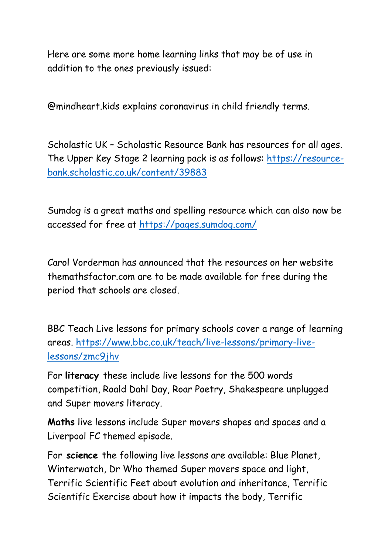Here are some more home learning links that may be of use in addition to the ones previously issued:

@mindheart.kids explains coronavirus in child friendly terms.

Scholastic UK – Scholastic Resource Bank has resources for all ages. The Upper Key Stage 2 learning pack is as follows: https://resourcebank.scholastic.co.uk/content/39883

Sumdog is a great maths and spelling resource which can also now be accessed for free at https://pages.sumdog.com/

Carol Vorderman has announced that the resources on her website themathsfactor.com are to be made available for free during the period that schools are closed.

BBC Teach Live lessons for primary schools cover a range of learning areas. https://www.bbc.co.uk/teach/live-lessons/primary-livelessons/zmc9jhv

For literacy these include live lessons for the 500 words competition, Roald Dahl Day, Roar Poetry, Shakespeare unplugged and Super movers literacy.

Maths live lessons include Super movers shapes and spaces and a Liverpool FC themed episode.

For science the following live lessons are available: Blue Planet, Winterwatch, Dr Who themed Super movers space and light, Terrific Scientific Feet about evolution and inheritance, Terrific Scientific Exercise about how it impacts the body, Terrific